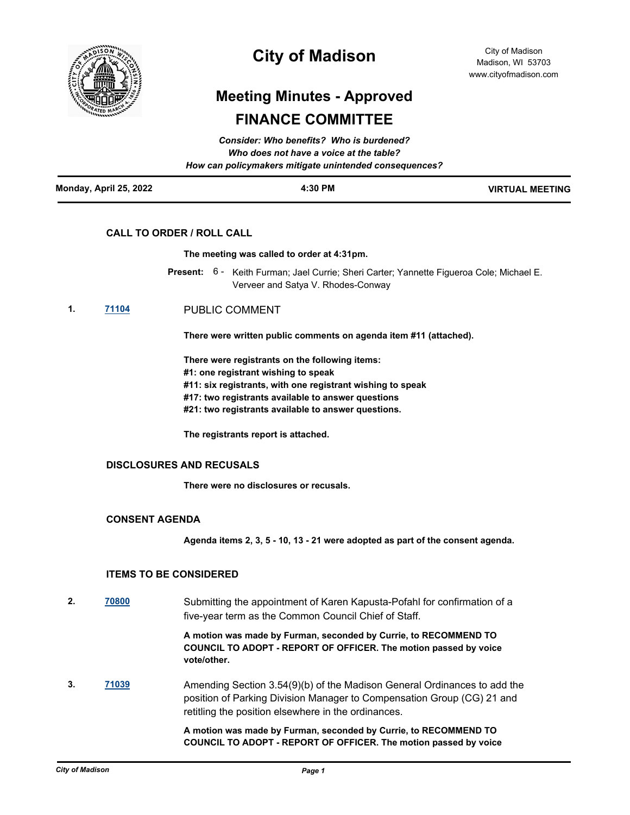

## **City of Madison**

# **Meeting Minutes - Approved FINANCE COMMITTEE**

| Monday, April 25, 2022 | 4:30 PM                                                                                           | <b>VIRTUAL MEETING</b> |
|------------------------|---------------------------------------------------------------------------------------------------|------------------------|
|                        | Who does not have a voice at the table?<br>How can policymakers mitigate unintended consequences? |                        |
|                        | Consider: Who benefits? Who is burdened?                                                          |                        |

## **CALL TO ORDER / ROLL CALL**

#### **The meeting was called to order at 4:31pm.**

- Present: 6 Keith Furman; Jael Currie; Sheri Carter; Yannette Figueroa Cole; Michael E. Verveer and Satya V. Rhodes-Conway
- **1. [71104](http://madison.legistar.com/gateway.aspx?m=l&id=/matter.aspx?key=83055)** PUBLIC COMMENT

**There were written public comments on agenda item #11 (attached).** 

**There were registrants on the following items:**

**#1: one registrant wishing to speak**

**#11: six registrants, with one registrant wishing to speak**

- **#17: two registrants available to answer questions**
- **#21: two registrants available to answer questions.**

**The registrants report is attached.**

### **DISCLOSURES AND RECUSALS**

**There were no disclosures or recusals.**

### **CONSENT AGENDA**

**Agenda items 2, 3, 5 - 10, 13 - 21 were adopted as part of the consent agenda.**

### **ITEMS TO BE CONSIDERED**

**2. [70800](http://madison.legistar.com/gateway.aspx?m=l&id=/matter.aspx?key=82812)** Submitting the appointment of Karen Kapusta-Pofahl for confirmation of a five-year term as the Common Council Chief of Staff.

> **A motion was made by Furman, seconded by Currie, to RECOMMEND TO COUNCIL TO ADOPT - REPORT OF OFFICER. The motion passed by voice vote/other.**

**3. [71039](http://madison.legistar.com/gateway.aspx?m=l&id=/matter.aspx?key=82999)** Amending Section 3.54(9)(b) of the Madison General Ordinances to add the position of Parking Division Manager to Compensation Group (CG) 21 and retitling the position elsewhere in the ordinances.

> **A motion was made by Furman, seconded by Currie, to RECOMMEND TO COUNCIL TO ADOPT - REPORT OF OFFICER. The motion passed by voice**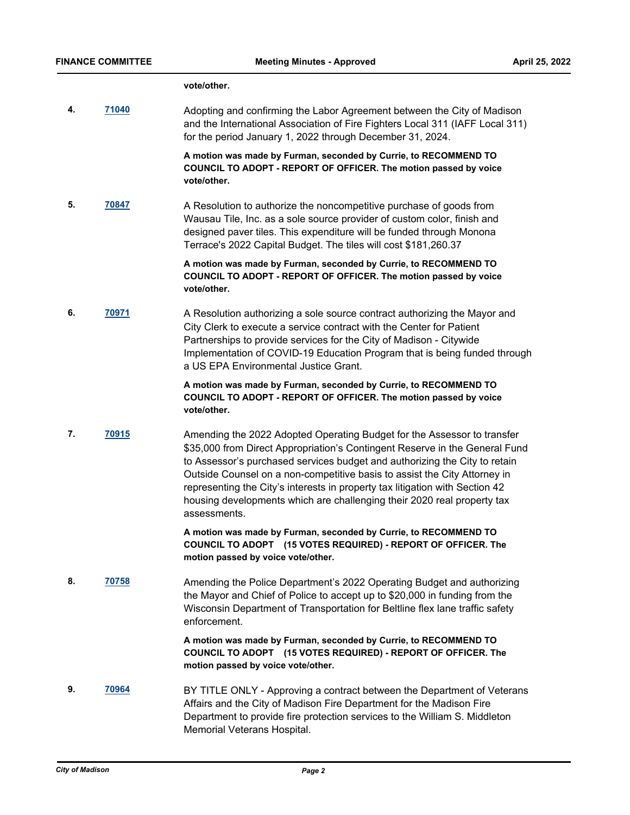#### **vote/other.**

**4. [71040](http://madison.legistar.com/gateway.aspx?m=l&id=/matter.aspx?key=83000)** Adopting and confirming the Labor Agreement between the City of Madison and the International Association of Fire Fighters Local 311 (IAFF Local 311) for the period January 1, 2022 through December 31, 2024.

> **A motion was made by Furman, seconded by Currie, to RECOMMEND TO COUNCIL TO ADOPT - REPORT OF OFFICER. The motion passed by voice vote/other.**

**5. [70847](http://madison.legistar.com/gateway.aspx?m=l&id=/matter.aspx?key=82845)** A Resolution to authorize the noncompetitive purchase of goods from Wausau Tile, Inc. as a sole source provider of custom color, finish and designed paver tiles. This expenditure will be funded through Monona Terrace's 2022 Capital Budget. The tiles will cost \$181,260.37

> **A motion was made by Furman, seconded by Currie, to RECOMMEND TO COUNCIL TO ADOPT - REPORT OF OFFICER. The motion passed by voice vote/other.**

**6. [70971](http://madison.legistar.com/gateway.aspx?m=l&id=/matter.aspx?key=82950)** A Resolution authorizing a sole source contract authorizing the Mayor and City Clerk to execute a service contract with the Center for Patient Partnerships to provide services for the City of Madison - Citywide Implementation of COVID-19 Education Program that is being funded through a US EPA Environmental Justice Grant.

> **A motion was made by Furman, seconded by Currie, to RECOMMEND TO COUNCIL TO ADOPT - REPORT OF OFFICER. The motion passed by voice vote/other.**

**7. [70915](http://madison.legistar.com/gateway.aspx?m=l&id=/matter.aspx?key=82903)** Amending the 2022 Adopted Operating Budget for the Assessor to transfer \$35,000 from Direct Appropriation's Contingent Reserve in the General Fund to Assessor's purchased services budget and authorizing the City to retain Outside Counsel on a non-competitive basis to assist the City Attorney in representing the City's interests in property tax litigation with Section 42 housing developments which are challenging their 2020 real property tax assessments.

> **A motion was made by Furman, seconded by Currie, to RECOMMEND TO COUNCIL TO ADOPT (15 VOTES REQUIRED) - REPORT OF OFFICER. The motion passed by voice vote/other.**

**8. [70758](http://madison.legistar.com/gateway.aspx?m=l&id=/matter.aspx?key=82772)** Amending the Police Department's 2022 Operating Budget and authorizing the Mayor and Chief of Police to accept up to \$20,000 in funding from the Wisconsin Department of Transportation for Beltline flex lane traffic safety enforcement.

> **A motion was made by Furman, seconded by Currie, to RECOMMEND TO COUNCIL TO ADOPT (15 VOTES REQUIRED) - REPORT OF OFFICER. The motion passed by voice vote/other.**

**9. [70964](http://madison.legistar.com/gateway.aspx?m=l&id=/matter.aspx?key=82947)** BY TITLE ONLY - Approving a contract between the Department of Veterans Affairs and the City of Madison Fire Department for the Madison Fire Department to provide fire protection services to the William S. Middleton Memorial Veterans Hospital.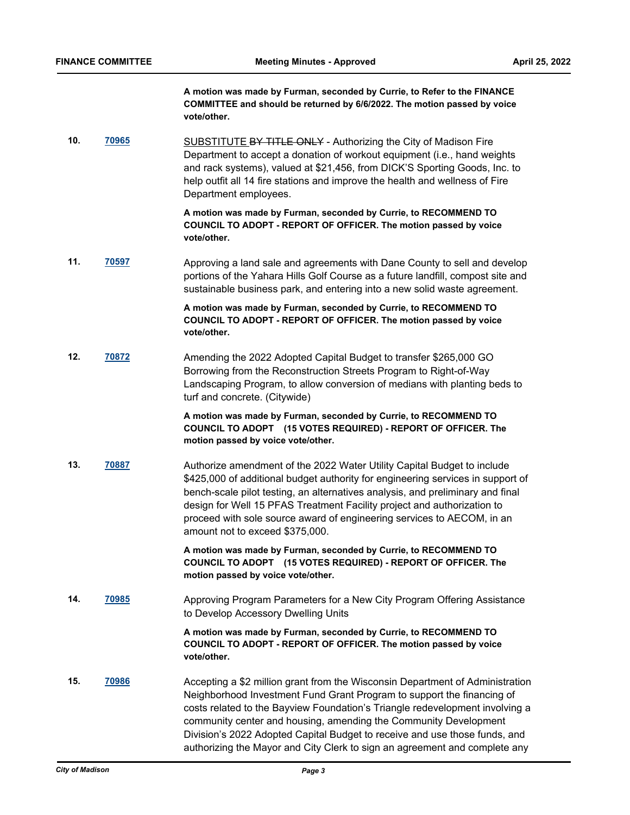**A motion was made by Furman, seconded by Currie, to Refer to the FINANCE COMMITTEE and should be returned by 6/6/2022. The motion passed by voice vote/other.**

10. **[70965](http://madison.legistar.com/gateway.aspx?m=l&id=/matter.aspx?key=82948)** SUBSTITUTE BY TITLE ONLY - Authorizing the City of Madison Fire Department to accept a donation of workout equipment (i.e., hand weights and rack systems), valued at \$21,456, from DICK'S Sporting Goods, Inc. to help outfit all 14 fire stations and improve the health and wellness of Fire Department employees.

> **A motion was made by Furman, seconded by Currie, to RECOMMEND TO COUNCIL TO ADOPT - REPORT OF OFFICER. The motion passed by voice vote/other.**

**11. [70597](http://madison.legistar.com/gateway.aspx?m=l&id=/matter.aspx?key=82628)** Approving a land sale and agreements with Dane County to sell and develop portions of the Yahara Hills Golf Course as a future landfill, compost site and sustainable business park, and entering into a new solid waste agreement.

### **A motion was made by Furman, seconded by Currie, to RECOMMEND TO COUNCIL TO ADOPT - REPORT OF OFFICER. The motion passed by voice vote/other.**

**12. [70872](http://madison.legistar.com/gateway.aspx?m=l&id=/matter.aspx?key=82870)** Amending the 2022 Adopted Capital Budget to transfer \$265,000 GO Borrowing from the Reconstruction Streets Program to Right-of-Way Landscaping Program, to allow conversion of medians with planting beds to turf and concrete. (Citywide)

> **A motion was made by Furman, seconded by Currie, to RECOMMEND TO COUNCIL TO ADOPT (15 VOTES REQUIRED) - REPORT OF OFFICER. The motion passed by voice vote/other.**

**13. [70887](http://madison.legistar.com/gateway.aspx?m=l&id=/matter.aspx?key=82885)** Authorize amendment of the 2022 Water Utility Capital Budget to include \$425,000 of additional budget authority for engineering services in support of bench-scale pilot testing, an alternatives analysis, and preliminary and final design for Well 15 PFAS Treatment Facility project and authorization to proceed with sole source award of engineering services to AECOM, in an amount not to exceed \$375,000.

> **A motion was made by Furman, seconded by Currie, to RECOMMEND TO COUNCIL TO ADOPT (15 VOTES REQUIRED) - REPORT OF OFFICER. The motion passed by voice vote/other.**

**14. [70985](http://madison.legistar.com/gateway.aspx?m=l&id=/matter.aspx?key=82957)** Approving Program Parameters for a New City Program Offering Assistance to Develop Accessory Dwelling Units

> **A motion was made by Furman, seconded by Currie, to RECOMMEND TO COUNCIL TO ADOPT - REPORT OF OFFICER. The motion passed by voice vote/other.**

**15. [70986](http://madison.legistar.com/gateway.aspx?m=l&id=/matter.aspx?key=82958)** Accepting a \$2 million grant from the Wisconsin Department of Administration Neighborhood Investment Fund Grant Program to support the financing of costs related to the Bayview Foundation's Triangle redevelopment involving a community center and housing, amending the Community Development Division's 2022 Adopted Capital Budget to receive and use those funds, and authorizing the Mayor and City Clerk to sign an agreement and complete any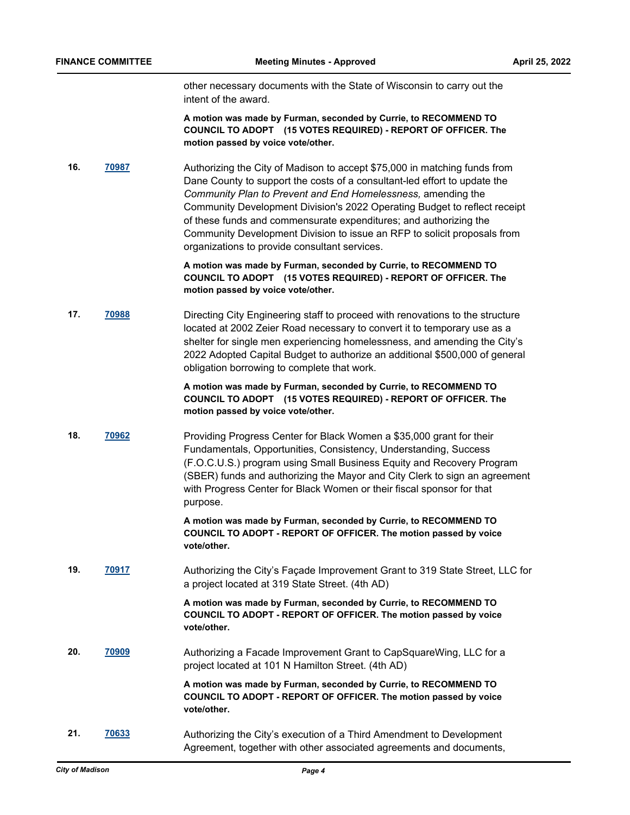other necessary documents with the State of Wisconsin to carry out the intent of the award.

**A motion was made by Furman, seconded by Currie, to RECOMMEND TO COUNCIL TO ADOPT (15 VOTES REQUIRED) - REPORT OF OFFICER. The motion passed by voice vote/other.**

**16. [70987](http://madison.legistar.com/gateway.aspx?m=l&id=/matter.aspx?key=82959)** Authorizing the City of Madison to accept \$75,000 in matching funds from Dane County to support the costs of a consultant-led effort to update the *Community Plan to Prevent and End Homelessness,* amending the Community Development Division's 2022 Operating Budget to reflect receipt of these funds and commensurate expenditures; and authorizing the Community Development Division to issue an RFP to solicit proposals from organizations to provide consultant services.

> **A motion was made by Furman, seconded by Currie, to RECOMMEND TO COUNCIL TO ADOPT (15 VOTES REQUIRED) - REPORT OF OFFICER. The motion passed by voice vote/other.**

**17. [70988](http://madison.legistar.com/gateway.aspx?m=l&id=/matter.aspx?key=82960)** Directing City Engineering staff to proceed with renovations to the structure located at 2002 Zeier Road necessary to convert it to temporary use as a shelter for single men experiencing homelessness, and amending the City's 2022 Adopted Capital Budget to authorize an additional \$500,000 of general obligation borrowing to complete that work.

> **A motion was made by Furman, seconded by Currie, to RECOMMEND TO COUNCIL TO ADOPT (15 VOTES REQUIRED) - REPORT OF OFFICER. The motion passed by voice vote/other.**

**18. [70962](http://madison.legistar.com/gateway.aspx?m=l&id=/matter.aspx?key=82945)** Providing Progress Center for Black Women a \$35,000 grant for their Fundamentals, Opportunities, Consistency, Understanding, Success (F.O.C.U.S.) program using Small Business Equity and Recovery Program (SBER) funds and authorizing the Mayor and City Clerk to sign an agreement with Progress Center for Black Women or their fiscal sponsor for that purpose.

> **A motion was made by Furman, seconded by Currie, to RECOMMEND TO COUNCIL TO ADOPT - REPORT OF OFFICER. The motion passed by voice vote/other.**

**19. [70917](http://madison.legistar.com/gateway.aspx?m=l&id=/matter.aspx?key=82905)** Authorizing the City's Façade Improvement Grant to 319 State Street, LLC for a project located at 319 State Street. (4th AD)

> **A motion was made by Furman, seconded by Currie, to RECOMMEND TO COUNCIL TO ADOPT - REPORT OF OFFICER. The motion passed by voice vote/other.**

**20. [70909](http://madison.legistar.com/gateway.aspx?m=l&id=/matter.aspx?key=82901)** Authorizing a Facade Improvement Grant to CapSquareWing, LLC for a project located at 101 N Hamilton Street. (4th AD)

> **A motion was made by Furman, seconded by Currie, to RECOMMEND TO COUNCIL TO ADOPT - REPORT OF OFFICER. The motion passed by voice vote/other.**

**21. [70633](http://madison.legistar.com/gateway.aspx?m=l&id=/matter.aspx?key=82664)** Authorizing the City's execution of a Third Amendment to Development Agreement, together with other associated agreements and documents,